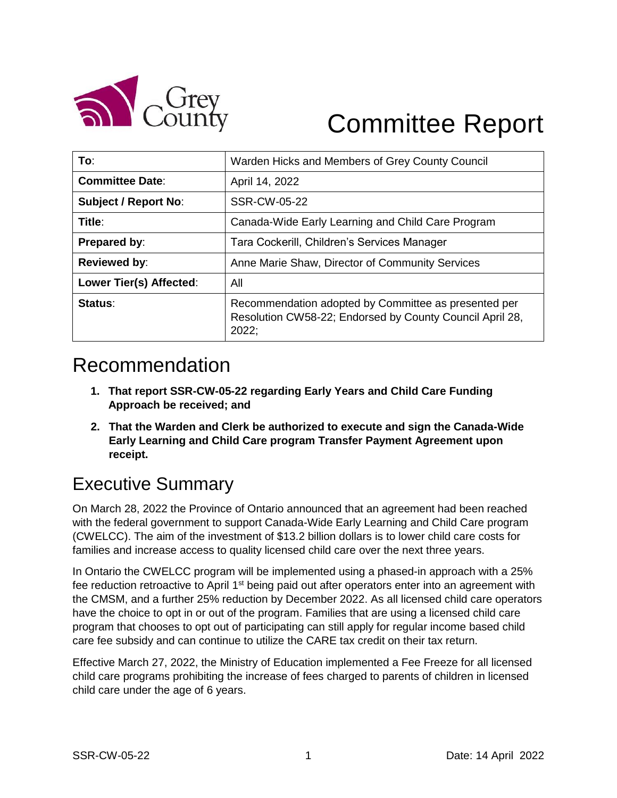

# Committee Report

| To:                         | Warden Hicks and Members of Grey County Council                                                                           |
|-----------------------------|---------------------------------------------------------------------------------------------------------------------------|
| <b>Committee Date:</b>      | April 14, 2022                                                                                                            |
| <b>Subject / Report No:</b> | SSR-CW-05-22                                                                                                              |
| Title:                      | Canada-Wide Early Learning and Child Care Program                                                                         |
| <b>Prepared by:</b>         | Tara Cockerill, Children's Services Manager                                                                               |
| <b>Reviewed by:</b>         | Anne Marie Shaw, Director of Community Services                                                                           |
| Lower Tier(s) Affected:     | All                                                                                                                       |
| Status:                     | Recommendation adopted by Committee as presented per<br>Resolution CW58-22; Endorsed by County Council April 28,<br>2022: |

## Recommendation

- **1. That report SSR-CW-05-22 regarding Early Years and Child Care Funding Approach be received; and**
- **2. That the Warden and Clerk be authorized to execute and sign the Canada-Wide Early Learning and Child Care program Transfer Payment Agreement upon receipt.**

## Executive Summary

On March 28, 2022 the Province of Ontario announced that an agreement had been reached with the federal government to support Canada-Wide Early Learning and Child Care program (CWELCC). The aim of the investment of \$13.2 billion dollars is to lower child care costs for families and increase access to quality licensed child care over the next three years.

In Ontario the CWELCC program will be implemented using a phased-in approach with a 25% fee reduction retroactive to April 1<sup>st</sup> being paid out after operators enter into an agreement with the CMSM, and a further 25% reduction by December 2022. As all licensed child care operators have the choice to opt in or out of the program. Families that are using a licensed child care program that chooses to opt out of participating can still apply for regular income based child care fee subsidy and can continue to utilize the CARE tax credit on their tax return.

Effective March 27, 2022, the Ministry of Education implemented a Fee Freeze for all licensed child care programs prohibiting the increase of fees charged to parents of children in licensed child care under the age of 6 years.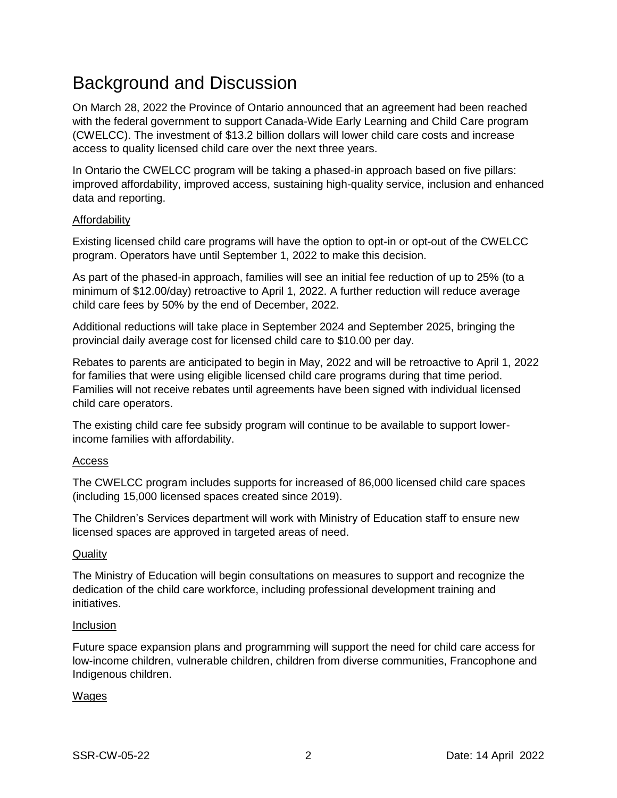## Background and Discussion

On March 28, 2022 the Province of Ontario announced that an agreement had been reached with the federal government to support Canada-Wide Early Learning and Child Care program (CWELCC). The investment of \$13.2 billion dollars will lower child care costs and increase access to quality licensed child care over the next three years.

In Ontario the CWELCC program will be taking a phased-in approach based on five pillars: improved affordability, improved access, sustaining high-quality service, inclusion and enhanced data and reporting.

### Affordability

Existing licensed child care programs will have the option to opt-in or opt-out of the CWELCC program. Operators have until September 1, 2022 to make this decision.

As part of the phased-in approach, families will see an initial fee reduction of up to 25% (to a minimum of \$12.00/day) retroactive to April 1, 2022. A further reduction will reduce average child care fees by 50% by the end of December, 2022.

Additional reductions will take place in September 2024 and September 2025, bringing the provincial daily average cost for licensed child care to \$10.00 per day.

Rebates to parents are anticipated to begin in May, 2022 and will be retroactive to April 1, 2022 for families that were using eligible licensed child care programs during that time period. Families will not receive rebates until agreements have been signed with individual licensed child care operators.

The existing child care fee subsidy program will continue to be available to support lowerincome families with affordability.

### Access

The CWELCC program includes supports for increased of 86,000 licensed child care spaces (including 15,000 licensed spaces created since 2019).

The Children's Services department will work with Ministry of Education staff to ensure new licensed spaces are approved in targeted areas of need.

### **Quality**

The Ministry of Education will begin consultations on measures to support and recognize the dedication of the child care workforce, including professional development training and initiatives.

### Inclusion

Future space expansion plans and programming will support the need for child care access for low-income children, vulnerable children, children from diverse communities, Francophone and Indigenous children.

### Wages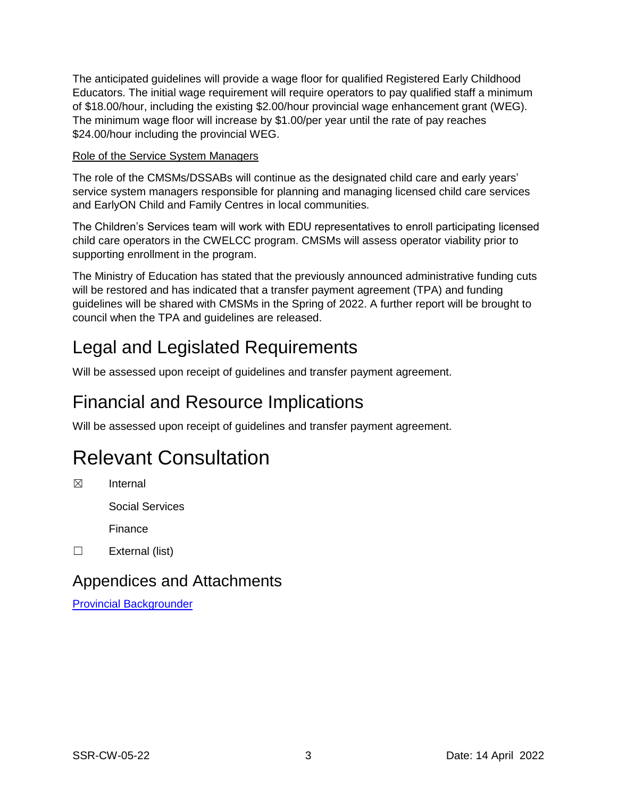The anticipated guidelines will provide a wage floor for qualified Registered Early Childhood Educators. The initial wage requirement will require operators to pay qualified staff a minimum of \$18.00/hour, including the existing \$2.00/hour provincial wage enhancement grant (WEG). The minimum wage floor will increase by \$1.00/per year until the rate of pay reaches \$24.00/hour including the provincial WEG.

### Role of the Service System Managers

The role of the CMSMs/DSSABs will continue as the designated child care and early years' service system managers responsible for planning and managing licensed child care services and EarlyON Child and Family Centres in local communities.

The Children's Services team will work with EDU representatives to enroll participating licensed child care operators in the CWELCC program. CMSMs will assess operator viability prior to supporting enrollment in the program.

The Ministry of Education has stated that the previously announced administrative funding cuts will be restored and has indicated that a transfer payment agreement (TPA) and funding guidelines will be shared with CMSMs in the Spring of 2022. A further report will be brought to council when the TPA and guidelines are released.

## Legal and Legislated Requirements

Will be assessed upon receipt of guidelines and transfer payment agreement.

## Financial and Resource Implications

Will be assessed upon receipt of guidelines and transfer payment agreement.

## Relevant Consultation

☒ Internal

Social Services

Finance

☐ External (list)

## Appendices and Attachments

[Provincial Backgrounder](https://news.ontario.ca/en/backgrounder/1001867/ontarios-child-care-action-plan-puts-families-first)